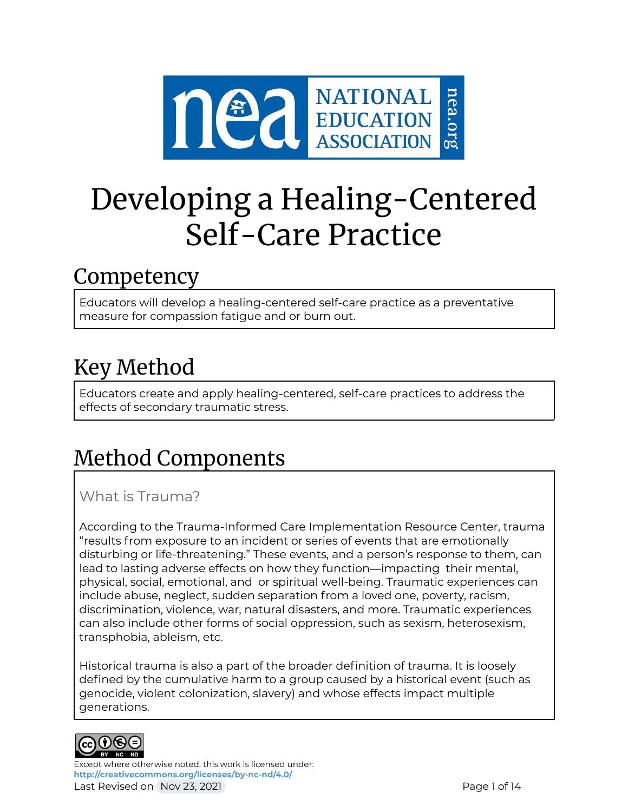

# Developing a Healing-Centered Self-Care Practice

# **Competency**

Educators will develop a healing-centered self-care practice as a preventative measure for compassion fatigue and or burn out.

# Key Method

Educators create and apply healing-centered, self-care practices to address the effects of secondary traumatic stress.

# Method Components

What is Trauma?

According to the Trauma-Informed Care Implementation Resource Center, trauma "results from exposure to an incident or series of events that are emotionally disturbing or life-threatening." These events, and a person's response to them, can lead to lasting adverse effects on how they function—impacting their mental, physical, social, emotional, and or spiritual well-being. Traumatic experiences can include abuse, neglect, sudden separation from a loved one, poverty, racism, discrimination, violence, war, natural disasters, and more. Traumatic experiences can also include other forms of social oppression, such as sexism, heterosexism, transphobia, ableism, etc.

Historical trauma is also a part of the broader definition of trauma. It is loosely defined by the cumulative harm to a group caused by a historical event (such as genocide, violent colonization, slavery) and whose effects impact multiple generations.



Except where otherwise noted, this work is licensed under: **<http://creativecommons.org/licenses/by-nc-nd/4.0/>** Last Revised on Nov 23, 2021 **Page 1 of 14** and 23, 2021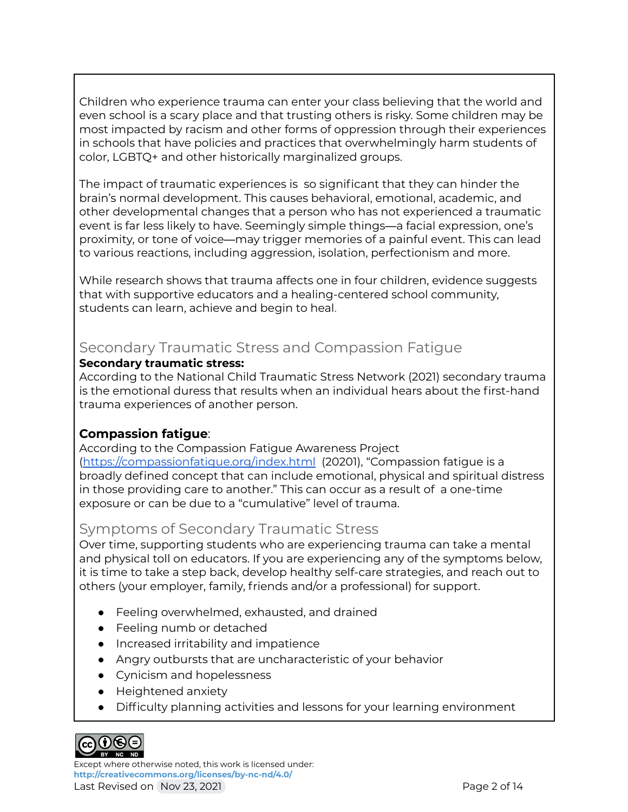Children who experience trauma can enter your class believing that the world and even school is a scary place and that trusting others is risky. Some children may be most impacted by racism and other forms of oppression through their experiences in schools that have policies and practices that overwhelmingly harm students of color, LGBTQ+ and other historically marginalized groups.

The impact of traumatic experiences is so significant that they can hinder the brain's normal development. This causes behavioral, emotional, academic, and other developmental changes that a person who has not experienced a traumatic event is far less likely to have. Seemingly simple things—a facial expression, one's proximity, or tone of voice—may trigger memories of a painful event. This can lead to various reactions, including aggression, isolation, perfectionism and more.

While research shows that trauma affects one in four children, evidence suggests that with supportive educators and a healing-centered school community, students can learn, achieve and begin to heal.

# Secondary Traumatic Stress and Compassion Fatigue

#### **Secondary traumatic stress:**

According to the National Child Traumatic Stress Network (2021) secondary trauma is the emotional duress that results when an individual hears about the first-hand trauma experiences of another person.

### **Compassion fatigue**:

According to the Compassion Fatigue Awareness Project (<https://compassionfatigue.org/index.html> (20201), "Compassion fatigue is a broadly defined concept that can include emotional, physical and spiritual distress in those providing care to another." This can occur as a result of a one-time exposure or can be due to a "cumulative" level of trauma.

### Symptoms of Secondary Traumatic Stress

Over time, supporting students who are experiencing trauma can take a mental and physical toll on educators. If you are experiencing any of the symptoms below, it is time to take a step back, develop healthy self-care strategies, and reach out to others (your employer, family, friends and/or a professional) for support.

- Feeling overwhelmed, exhausted, and drained
- Feeling numb or detached
- Increased irritability and impatience
- Angry outbursts that are uncharacteristic of your behavior
- Cynicism and hopelessness
- Heightened anxiety
- Difficulty planning activities and lessons for your learning environment



Except where otherwise noted, this work is licensed under: **<http://creativecommons.org/licenses/by-nc-nd/4.0/>** Last Revised on Nov 23, 2021 **Page 2 of 14**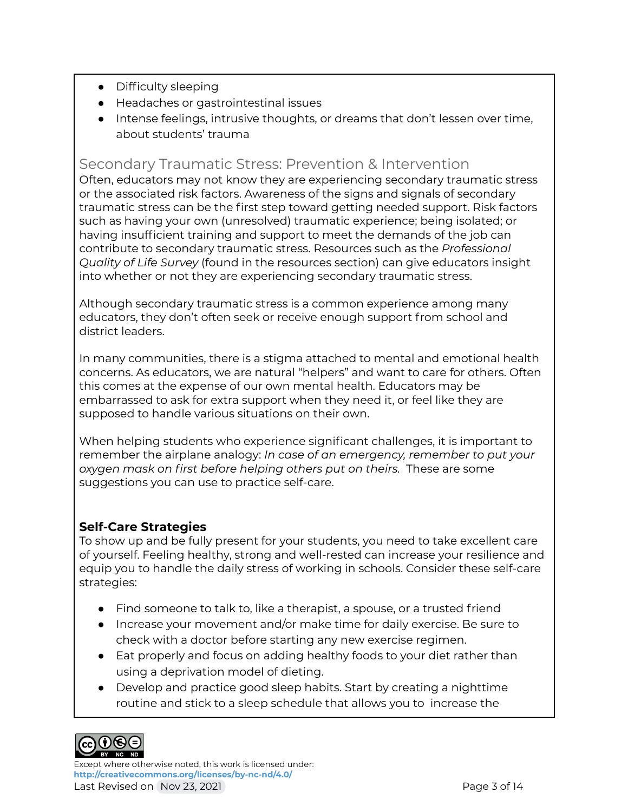- Difficulty sleeping
- Headaches or gastrointestinal issues
- Intense feelings, intrusive thoughts, or dreams that don't lessen over time, about students' trauma

## Secondary Traumatic Stress: Prevention & Intervention

Often, educators may not know they are experiencing secondary traumatic stress or the associated risk factors. Awareness of the signs and signals of secondary traumatic stress can be the first step toward getting needed support. Risk factors such as having your own (unresolved) traumatic experience; being isolated; or having insufficient training and support to meet the demands of the job can contribute to secondary traumatic stress. Resources such as the *Professional Quality of Life Survey* (found in the resources section) can give educators insight into whether or not they are experiencing secondary traumatic stress.

Although secondary traumatic stress is a common experience among many educators, they don't often seek or receive enough support from school and district leaders.

In many communities, there is a stigma attached to mental and emotional health concerns. As educators, we are natural "helpers" and want to care for others. Often this comes at the expense of our own mental health. Educators may be embarrassed to ask for extra support when they need it, or feel like they are supposed to handle various situations on their own.

When helping students who experience significant challenges, it is important to remember the airplane analogy: *In case of an emergency, remember to put your oxygen mask on first before helping others put on theirs.* These are some suggestions you can use to practice self-care.

### **Self-Care Strategies**

To show up and be fully present for your students, you need to take excellent care of yourself. Feeling healthy, strong and well-rested can increase your resilience and equip you to handle the daily stress of working in schools. Consider these self-care strategies:

- Find someone to talk to, like a therapist, a spouse, or a trusted friend
- Increase your movement and/or make time for daily exercise. Be sure to check with a doctor before starting any new exercise regimen.
- Eat properly and focus on adding healthy foods to your diet rather than using a deprivation model of dieting.
- Develop and practice good sleep habits. Start by creating a nighttime routine and stick to a sleep schedule that allows you to increase the



Except where otherwise noted, this work is licensed under: **<http://creativecommons.org/licenses/by-nc-nd/4.0/>** Last Revised on Nov 23, 2021 **Page 3 of 14**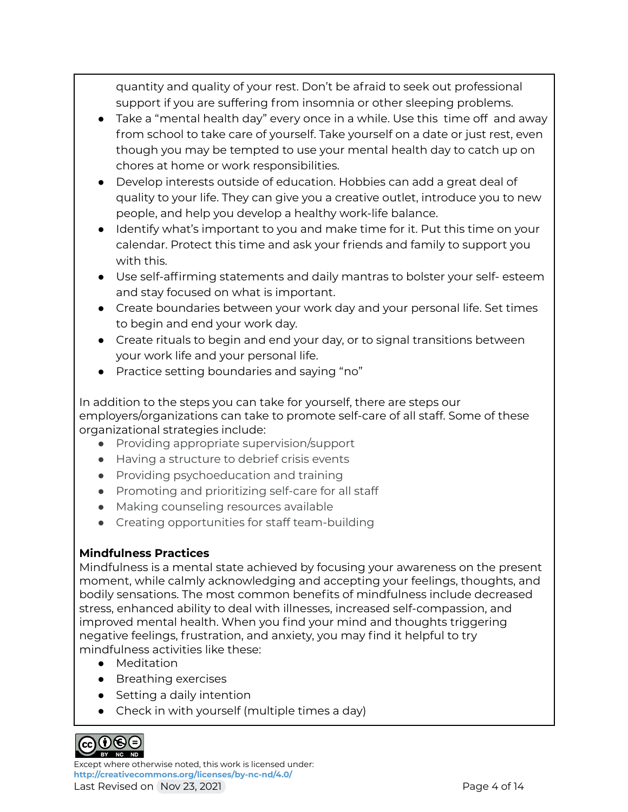quantity and quality of your rest. Don't be afraid to seek out professional support if you are suffering from insomnia or other sleeping problems.

- Take a "mental health day" every once in a while. Use this time off and away from school to take care of yourself. Take yourself on a date or just rest, even though you may be tempted to use your mental health day to catch up on chores at home or work responsibilities.
- Develop interests outside of education. Hobbies can add a great deal of quality to your life. They can give you a creative outlet, introduce you to new people, and help you develop a healthy work-life balance.
- Identify what's important to you and make time for it. Put this time on your calendar. Protect this time and ask your friends and family to support you with this.
- Use self-affirming statements and daily mantras to bolster your self- esteem and stay focused on what is important.
- Create boundaries between your work day and your personal life. Set times to begin and end your work day.
- Create rituals to begin and end your day, or to signal transitions between your work life and your personal life.
- Practice setting boundaries and saying "no"

In addition to the steps you can take for yourself, there are steps our employers/organizations can take to promote self-care of all staff. Some of these organizational strategies include:

- Providing appropriate supervision/support
- Having a structure to debrief crisis events
- Providing psychoeducation and training
- Promoting and prioritizing self-care for all staff
- Making counseling resources available
- Creating opportunities for staff team-building

### **Mindfulness Practices**

Mindfulness is a mental state achieved by focusing your awareness on the present moment, while calmly acknowledging and accepting your feelings, thoughts, and bodily sensations. The most common benefits of mindfulness include decreased stress, enhanced ability to deal with illnesses, increased self-compassion, and improved mental health. When you find your mind and thoughts triggering negative feelings, frustration, and anxiety, you may find it helpful to try mindfulness activities like these:

- Meditation
- Breathing exercises
- Setting a daily intention
- Check in with yourself (multiple times a day)



Except where otherwise noted, this work is licensed under: **<http://creativecommons.org/licenses/by-nc-nd/4.0/>** Last Revised on Nov 23, 2021 **Page 4 of 14**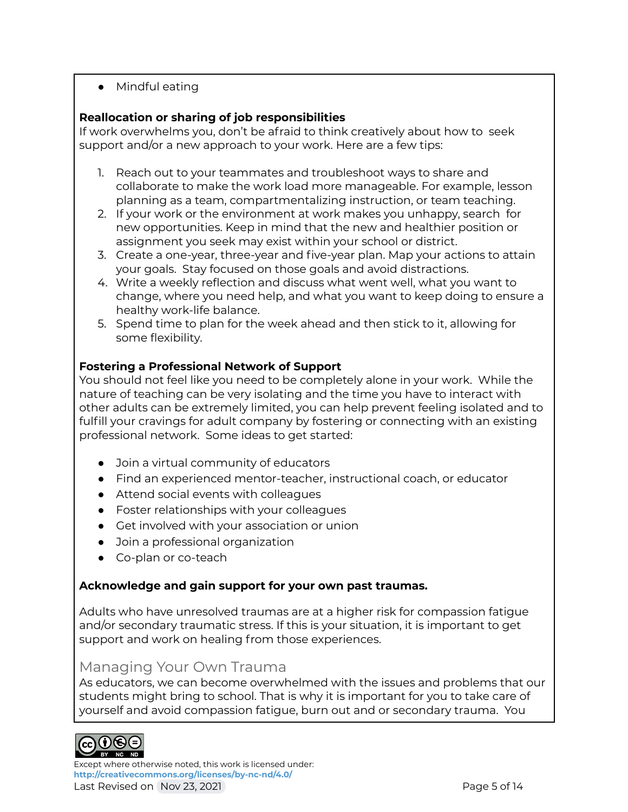● Mindful eating

### **Reallocation or sharing of job responsibilities**

If work overwhelms you, don't be afraid to think creatively about how to seek support and/or a new approach to your work. Here are a few tips:

- 1. Reach out to your teammates and troubleshoot ways to share and collaborate to make the work load more manageable. For example, lesson planning as a team, compartmentalizing instruction, or team teaching.
- 2. If your work or the environment at work makes you unhappy, search for new opportunities. Keep in mind that the new and healthier position or assignment you seek may exist within your school or district.
- 3. Create a one-year, three-year and five-year plan. Map your actions to attain your goals. Stay focused on those goals and avoid distractions.
- 4. Write a weekly reflection and discuss what went well, what you want to change, where you need help, and what you want to keep doing to ensure a healthy work-life balance.
- 5. Spend time to plan for the week ahead and then stick to it, allowing for some flexibility.

### **Fostering a Professional Network of Support**

You should not feel like you need to be completely alone in your work. While the nature of teaching can be very isolating and the time you have to interact with other adults can be extremely limited, you can help prevent feeling isolated and to fulfill your cravings for adult company by fostering or connecting with an existing professional network. Some ideas to get started:

- Join a virtual community of educators
- Find an experienced mentor-teacher, instructional coach, or educator
- Attend social events with colleagues
- Foster relationships with your colleagues
- Get involved with your association or union
- Join a professional organization
- Co-plan or co-teach

### **Acknowledge and gain support for your own past traumas.**

Adults who have unresolved traumas are at a higher risk for compassion fatigue and/or secondary traumatic stress. If this is your situation, it is important to get support and work on healing from those experiences.

### Managing Your Own Trauma

As educators, we can become overwhelmed with the issues and problems that our students might bring to school. That is why it is important for you to take care of yourself and avoid compassion fatigue, burn out and or secondary trauma. You



Except where otherwise noted, this work is licensed under: **<http://creativecommons.org/licenses/by-nc-nd/4.0/>**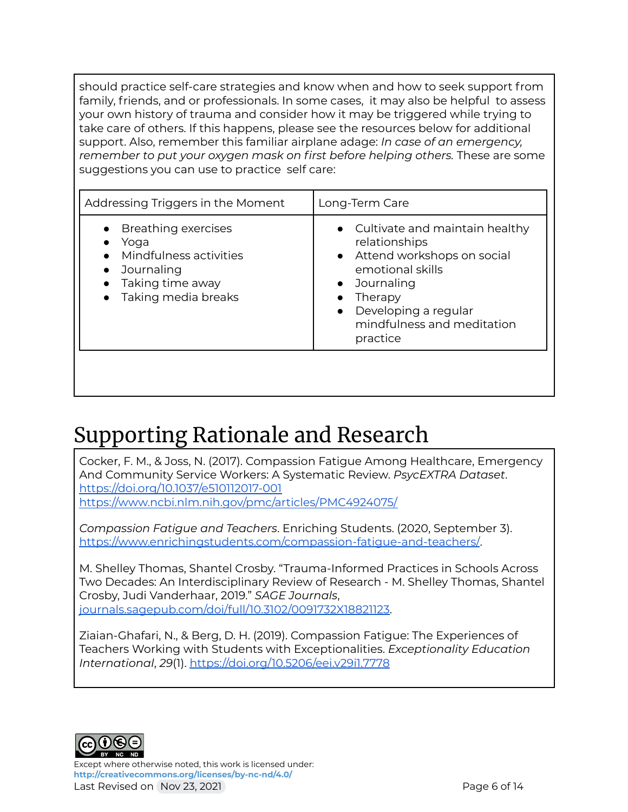should practice self-care strategies and know when and how to seek support from family, friends, and or professionals. In some cases, it may also be helpful to assess your own history of trauma and consider how it may be triggered while trying to take care of others. If this happens, please see the resources below for additional support. Also, remember this familiar airplane adage: *In case of an emergency, remember to put your oxygen mask on first before helping others.* These are some suggestions you can use to practice self care:

| Addressing Triggers in the Moment                                                                                | Long-Term Care                                                                                                                                                                                                             |
|------------------------------------------------------------------------------------------------------------------|----------------------------------------------------------------------------------------------------------------------------------------------------------------------------------------------------------------------------|
| • Breathing exercises<br>Yoga<br>Mindfulness activities<br>Journaling<br>Taking time away<br>Taking media breaks | • Cultivate and maintain healthy<br>relationships<br>• Attend workshops on social<br>emotional skills<br>Journaling<br>$\bullet$<br>Therapy<br>Developing a regular<br>$\bullet$<br>mindfulness and meditation<br>practice |

# Supporting Rationale and Research

Cocker, F. M., & Joss, N. (2017). Compassion Fatigue Among Healthcare, Emergency And Community Service Workers: A Systematic Review. *PsycEXTRA Dataset*. <https://doi.org/10.1037/e510112017-001> <https://www.ncbi.nlm.nih.gov/pmc/articles/PMC4924075/>

*Compassion Fatigue and Teachers*. Enriching Students. (2020, September 3). <https://www.enrichingstudents.com/compassion-fatigue-and-teachers/>.

M. Shelley Thomas, Shantel Crosby. "Trauma-Informed Practices in Schools Across Two Decades: An Interdisciplinary Review of Research - M. Shelley Thomas, Shantel Crosby, Judi Vanderhaar, 2019." *SAGE Journals*, [journals.sagepub.com/doi/full/10.3102/0091732X18821123](https://journals.sagepub.com/doi/full/10.3102/0091732X18821123).

Ziaian-Ghafari, N., & Berg, D. H. (2019). Compassion Fatigue: The Experiences of Teachers Working with Students with Exceptionalities. *Exceptionality Education International*, *29*(1). <https://doi.org/10.5206/eei.v29i1.7778>



Except where otherwise noted, this work is licensed under: **<http://creativecommons.org/licenses/by-nc-nd/4.0/>** Last Revised on Nov 23, 2021 **Page 6 of 14**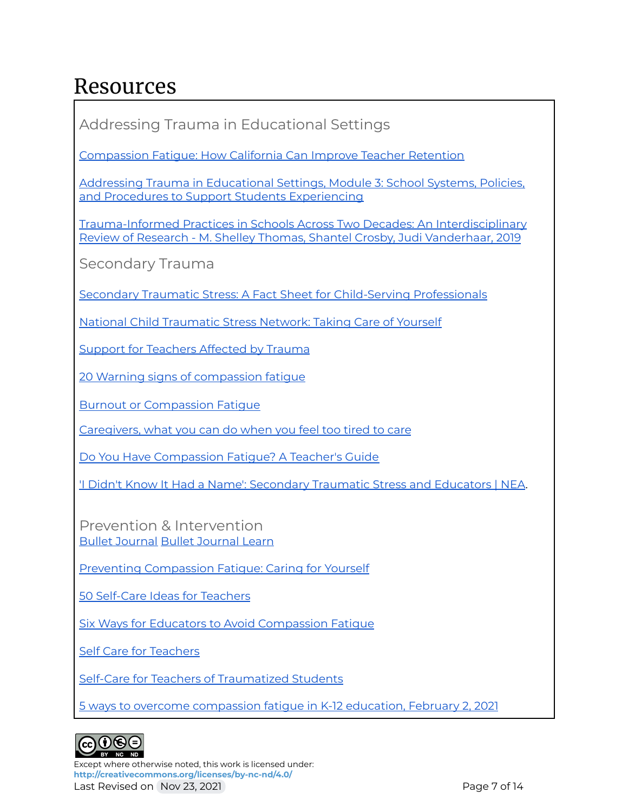# Resources

Addressing Trauma in Educational Settings

[Compassion](https://www.mindfulschools.org/inspiration/compassion-fatigue-how-california-can-improve-teacher-retention/) Fatigue: How California Can Improve Teacher Retention

Addressing Trauma in [Educational](https://ies.ed.gov/ncee/edlabs/regions/appalachia/events/event_12-21-20_addressing-trauma-in-educational-settings_module-2.asp) Settings, Module 3: School Systems, Policies, and Procedures to Support Students [Experiencing](https://ies.ed.gov/ncee/edlabs/regions/appalachia/events/event_12-21-20_addressing-trauma-in-educational-settings_module-2.asp)

[Trauma-Informed](https://journals.sagepub.com/doi/full/10.3102/0091732X18821123) Practices in Schools Across Two Decades: An Interdisciplinary Review of Research - M. Shelley Thomas, Shantel Crosby, Judi [Vanderhaar,](https://journals.sagepub.com/doi/full/10.3102/0091732X18821123) 2019

Secondary Trauma

Secondary Traumatic Stress: A Fact Sheet for [Child-Serving](https://www.nctsn.org/sites/default/files/resources/fact-sheet/secondary_traumatic_stress_child_serving_professionals.pdf) Professionals

National Child [Traumatic](https://www.nctsn.org/resources/taking-care-of-yourself) Stress Network: Taking Care of Yourself

Support for [Teachers](http://statprogram.org/) Affected by Trauma

20 Warning signs of [compassion](https://www.thesafetymag.com/ca/news/opinion/20-warning-signs-of-compassion-fatigue/187493) fatigue

Burnout or [Compassion](https://www.stress.org/military/for-practitionersleaders/compassion-fatigue) Fatigue

[Caregivers,](https://abc11.com/compassion-fatigue-caregiving-caregivers-empathy/10669217/) what you can do when you feel too tired to care

Do You Have [Compassion](https://jabumind.com/do-you-have-compassion-fatigue-a-teachers-guide/) Fatigue? A Teacher's Guide

'I Didn't Know It Had a Name': [Secondary](https://www.nea.org/advocating-for-change/new-from-nea/i-didnt-know-it-had-name-secondary-traumatic-stress-and) Traumatic Stress and Educators | NEA.

Prevention & Intervention Bullet [Journal](https://bulletjournal.com/) Bullet [Journal](https://bulletjournal.com/pages/learn) Learn

Preventing [Compassion](https://www.naeyc.org/resources/pubs/yc/jul2020/preventing-compassion-fatigue) Fatigue: Caring for Yourself

50 [Self-Care](https://thecounselingteacher.com/2019/12/50-self-care-ideas-for-teachers.html) Ideas for Teachers

Six Ways for Educators to Avoid [Compassion](https://lesley.edu/article/six-ways-for-educators-to-avoid-compassion-fatigue) Fatigue

Self Care for [Teachers](https://www.positivediscipline.com/articles/self-care-teachers)

Self-Care for Teachers of [Traumatized](https://resilienteducator.com/classroom-resources/self-care-for-teachers/) Students

5 ways to overcome [compassion](https://districtadministration.com/5-ways-overcome-compassion-fatigue-higher-education/) fatigue in K-12 education, February 2, 2021



Except where otherwise noted, this work is licensed under: **<http://creativecommons.org/licenses/by-nc-nd/4.0/>** Last Revised on Nov 23, 2021 **Page 7 of 14**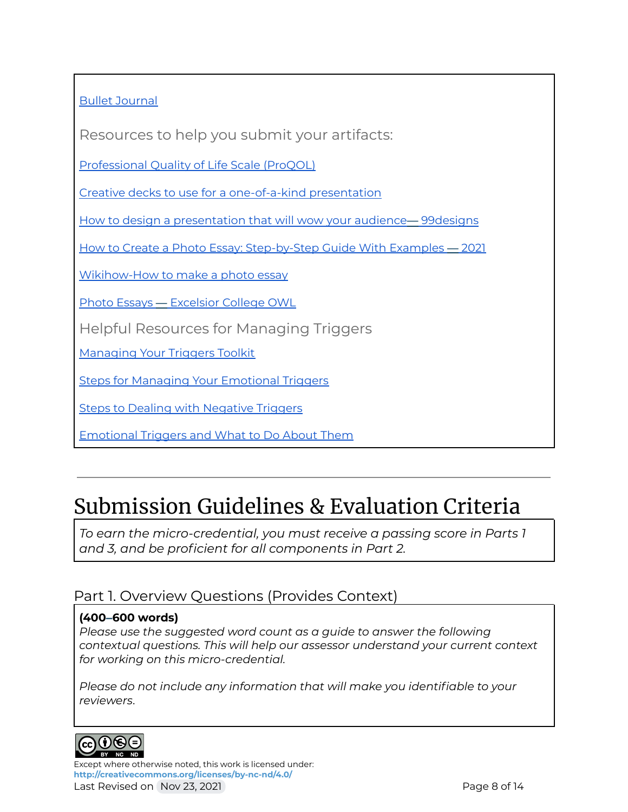### Bullet [Journal](https://bulletjournal.com/)

Resources to help you submit your artifacts:

[Professional](https://img1.wsimg.com/blobby/go/dfc1e1a0-a1db-4456-9391-18746725179b/downloads/ProQOL_5_English_Self-Score.pdf?ver=1622777390411) Quality of Life Scale (ProQOL)

Creative decks to use for a [one-of-a-kind](https://www.canva.com/learn/creative-presentations/) presentation

How to design a [presentation](https://99designs.com/blog/marketing-advertising/how-to-design-presentations/) that will wow your audience— 99designs

How to Create a Photo Essay: [Step-by-Step](https://www.masterclass.com/articles/how-to-create-a-photo-essay#what-is-a-photo-essay) Guide With Examples — 2021

[Wikihow-How](https://www.wikihow.com/Make-a-Photo-Essay?scrlybrkr=c1e5a503) to make a photo essay

Photo Essays — [Excelsior](https://owl.excelsior.edu/online-writing-and-presentations/multi-modal-writing/multi-modal-writing-photo-essays/) College OWL

Helpful Resources for Managing Triggers

[Managing](https://mediatorsbeyondborders.org/wp-content/uploads/2020/01/managing-your-triggers-toolkit.pdf) Your Triggers Toolkit

Steps for Managing Your [Emotional](https://www.psychologytoday.com/us/blog/wander-woman/201507/5-steps-managing-your-emotional-triggers) Triggers

Steps to Dealing with [Negative](https://bigvoicesrise.com/triggers/) Triggers

[Emotional](https://sourcesofinsight.com/emotional-triggers-and-what-to-do-about-them/) Triggers and What to Do About Them

# Submission Guidelines & Evaluation Criteria

*To earn the micro-credential, you must receive a passing score in Parts 1 and 3, and be proficient for all components in Part 2.*

# Part 1. Overview Questions (Provides Context)

### **(400–600 words)**

*Please use the suggested word count as a guide to answer the following contextual questions. This will help our assessor understand your current context for working on this micro-credential.*

*Please do not include any information that will make you identifiable to your reviewers*.



Except where otherwise noted, this work is licensed under: **<http://creativecommons.org/licenses/by-nc-nd/4.0/>**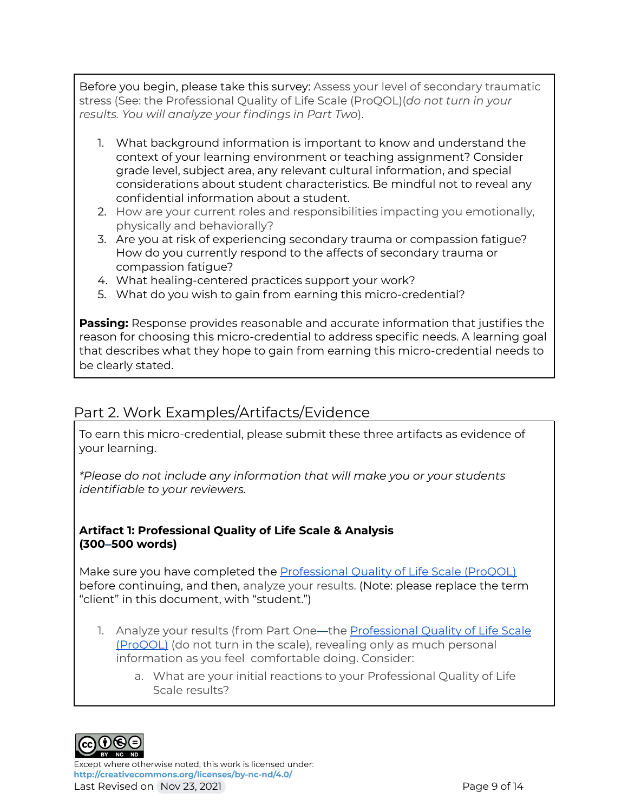Before you begin, please take this survey: Assess your level of secondary traumatic stress (See: the Professional Quality of Life Scale (ProQOL)(*do not turn in your results. You will analyze your findings in Part Two*).

- 1. What background information is important to know and understand the context of your learning environment or teaching assignment? Consider grade level, subject area, any relevant cultural information, and special considerations about student characteristics. Be mindful not to reveal any confidential information about a student.
- 2. How are your current roles and responsibilities impacting you emotionally, physically and behaviorally?
- 3. Are you at risk of experiencing secondary trauma or compassion fatigue? How do you currently respond to the affects of secondary trauma or compassion fatigue?
- 4. What healing-centered practices support your work?
- 5. What do you wish to gain from earning this micro-credential?

**Passing:** Response provides reasonable and accurate information that justifies the reason for choosing this micro-credential to address specific needs. A learning goal that describes what they hope to gain from earning this micro-credential needs to be clearly stated.

### Part 2. Work Examples/Artifacts/Evidence

To earn this micro-credential, please submit these three artifacts as evidence of your learning.

*\*Please do not include any information that will make you or your students identifiable to your reviewers.*

#### **Artifact 1: Professional Quality of Life Scale & Analysis (300–500 words)**

Make sure you have completed the [Professional](https://img1.wsimg.com/blobby/go/dfc1e1a0-a1db-4456-9391-18746725179b/downloads/ProQOL_5_English_Self-Score.pdf?ver=1622777390411) Quality of Life Scale (ProQOL) before continuing, and then, analyze your results. (Note: please replace the term "client" in this document, with "student.")

- 1. Analyze your results (from Part One-the [Professional](https://img1.wsimg.com/blobby/go/dfc1e1a0-a1db-4456-9391-18746725179b/downloads/ProQOL_5_English_Self-Score.pdf?ver=1622777390411) Quality of Life Scale [\(ProQOL\)](https://img1.wsimg.com/blobby/go/dfc1e1a0-a1db-4456-9391-18746725179b/downloads/ProQOL_5_English_Self-Score.pdf?ver=1622777390411) (do not turn in the scale), revealing only as much personal information as you feel comfortable doing. Consider:
	- a. What are your initial reactions to your Professional Quality of Life Scale results?



Except where otherwise noted, this work is licensed under: **<http://creativecommons.org/licenses/by-nc-nd/4.0/>** Last Revised on Nov 23, 2021 **Page 9 of 14** Page 9 of 14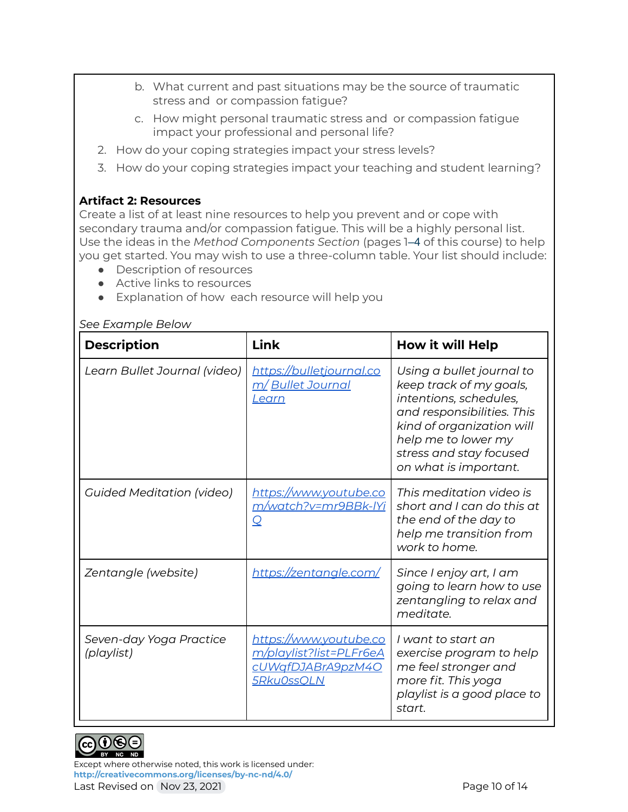- b. What current and past situations may be the source of traumatic stress and or compassion fatigue?
- c. How might personal traumatic stress and or compassion fatigue impact your professional and personal life?
- 2. How do your coping strategies impact your stress levels?
- 3. How do your coping strategies impact your teaching and student learning?

#### **Artifact 2: Resources**

Create a list of at least nine resources to help you prevent and or cope with secondary trauma and/or compassion fatigue. This will be a highly personal list. Use the ideas in the *Method Components Section* (pages 1–4 of this course) to help you get started. You may wish to use a three-column table. Your list should include:

- Description of resources
- Active links to resources
- Explanation of how each resource will help you

#### *See Example Below*

| <b>Description</b>                    | Link                                                                                        | <b>How it will Help</b>                                                                                                                                                                                              |
|---------------------------------------|---------------------------------------------------------------------------------------------|----------------------------------------------------------------------------------------------------------------------------------------------------------------------------------------------------------------------|
| Learn Bullet Journal (video)          | https://bulletjournal.co<br><u>m/ Bullet Journal</u><br><u>Learn</u>                        | Using a bullet journal to<br>keep track of my goals,<br>intentions, schedules,<br>and responsibilities. This<br>kind of organization will<br>help me to lower my<br>stress and stay focused<br>on what is important. |
| <b>Guided Meditation (video)</b>      | https://www.youtube.co<br><u>m/watch?v=mr9BBk-IYi</u><br>Q                                  | This meditation video is<br>short and I can do this at<br>the end of the day to<br>help me transition from<br>work to home.                                                                                          |
| Zentangle (website)                   | https://zentangle.com/                                                                      | Since I enjoy art, I am<br>going to learn how to use<br>zentangling to relax and<br>meditate.                                                                                                                        |
| Seven-day Yoga Practice<br>(playlist) | <u>https://www.youtube.co</u><br>m/playlist?list=PLFr6eA<br>cUWqfDJABrA9pzM4O<br>5Rku0ssQLN | I want to start an<br>exercise program to help<br>me feel stronger and<br>more fit. This yoga<br>playlist is a good place to<br>start.                                                                               |



Except where otherwise noted, this work is licensed under: **<http://creativecommons.org/licenses/by-nc-nd/4.0/>**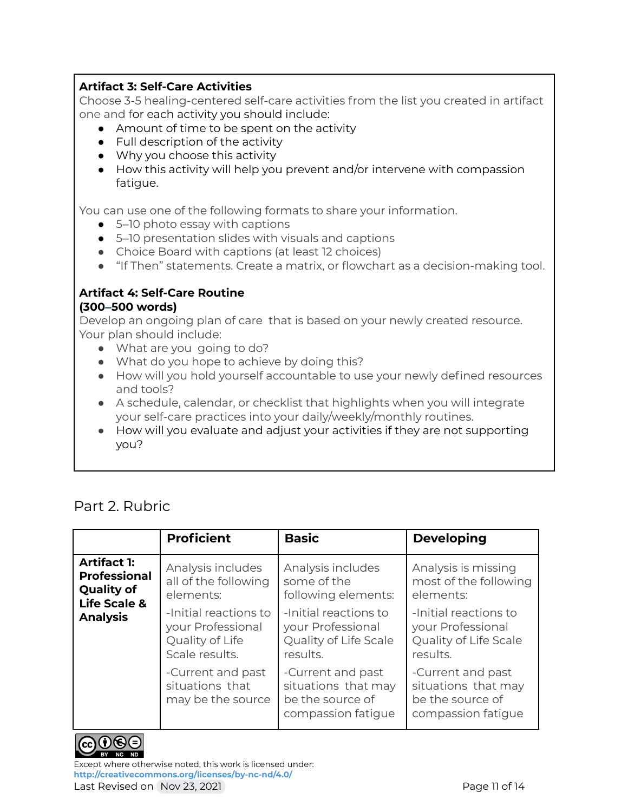### **Artifact 3: Self-Care Activities**

Choose 3-5 healing-centered self-care activities from the list you created in artifact one and for each activity you should include:

- Amount of time to be spent on the activity
- Full description of the activity
- Why you choose this activity
- How this activity will help you prevent and/or intervene with compassion fatique.

You can use one of the following formats to share your information.

- 5–10 photo essay with captions
- 5–10 presentation slides with visuals and captions
- Choice Board with captions (at least 12 choices)
- "If Then" statements. Create a matrix, or flowchart as a decision-making tool.

#### **Artifact 4: Self-Care Routine (300–500 words)**

Develop an ongoing plan of care that is based on your newly created resource. Your plan should include:

- What are you going to do?
- What do you hope to achieve by doing this?
- How will you hold yourself accountable to use your newly defined resources and tools?
- A schedule, calendar, or checklist that highlights when you will integrate your self-care practices into your daily/weekly/monthly routines.
- How will you evaluate and adjust your activities if they are not supporting you?

### Part 2. Rubric

|                                                                                                                                                                                                                                                           | <b>Proficient</b>                                                               | <b>Basic</b>                                                                       | <b>Developing</b>                                                                  |
|-----------------------------------------------------------------------------------------------------------------------------------------------------------------------------------------------------------------------------------------------------------|---------------------------------------------------------------------------------|------------------------------------------------------------------------------------|------------------------------------------------------------------------------------|
| <b>Artifact 1:</b><br>Analysis includes<br><b>Professional</b><br>all of the following<br><b>Quality of</b><br>elements:<br><b>Life Scale &amp;</b><br>-Initial reactions to<br><b>Analysis</b><br>your Professional<br>Quality of Life<br>Scale results. |                                                                                 | Analysis includes<br>some of the<br>following elements:                            | Analysis is missing<br>most of the following<br>elements:                          |
|                                                                                                                                                                                                                                                           | -Initial reactions to<br>your Professional<br>Quality of Life Scale<br>results. | -Initial reactions to<br>your Professional<br>Quality of Life Scale<br>results.    |                                                                                    |
|                                                                                                                                                                                                                                                           | -Current and past<br>situations that<br>may be the source                       | -Current and past<br>situations that may<br>be the source of<br>compassion fatique | -Current and past<br>situations that may<br>be the source of<br>compassion fatique |



Except where otherwise noted, this work is licensed under: **<http://creativecommons.org/licenses/by-nc-nd/4.0/>** Last Revised on Nov 23, 2021 **Page 11 of 14** Page 11 of 14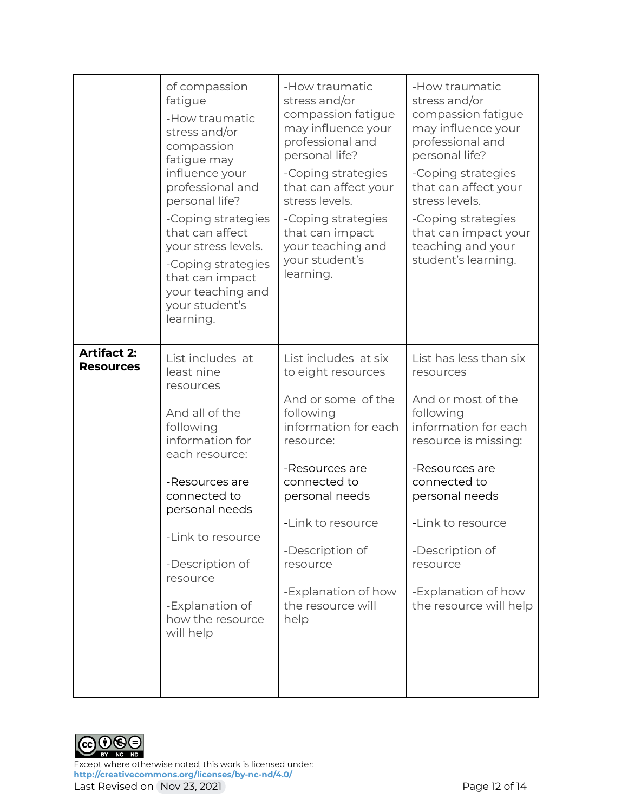|                                        | of compassion<br>fatigue<br>-How traumatic<br>stress and/or<br>compassion<br>fatigue may<br>influence your<br>professional and<br>personal life?<br>-Coping strategies<br>that can affect<br>your stress levels.<br>-Coping strategies<br>that can impact<br>your teaching and<br>your student's<br>learning. | -How traumatic<br>stress and/or<br>compassion fatigue<br>may influence your<br>professional and<br>personal life?<br>-Coping strategies<br>that can affect your<br>stress levels.<br>-Coping strategies<br>that can impact<br>your teaching and<br>your student's<br>learning. | -How traumatic<br>stress and/or<br>compassion fatigue<br>may influence your<br>professional and<br>personal life?<br>-Coping strategies<br>that can affect your<br>stress levels.<br>-Coping strategies<br>that can impact your<br>teaching and your<br>student's learning.     |
|----------------------------------------|---------------------------------------------------------------------------------------------------------------------------------------------------------------------------------------------------------------------------------------------------------------------------------------------------------------|--------------------------------------------------------------------------------------------------------------------------------------------------------------------------------------------------------------------------------------------------------------------------------|---------------------------------------------------------------------------------------------------------------------------------------------------------------------------------------------------------------------------------------------------------------------------------|
| <b>Artifact 2:</b><br><b>Resources</b> | List includes at<br>least nine<br>resources<br>And all of the<br>following<br>information for<br>each resource:<br>-Resources are<br>connected to<br>personal needs<br>-Link to resource<br>-Description of<br>resource<br>-Explanation of<br>how the resource<br>will help                                   | List includes at six<br>to eight resources<br>And or some of the<br>following<br>information for each<br>resource:<br>-Resources are<br>connected to<br>personal needs<br>-Link to resource<br>-Description of<br>resource<br>-Explanation of how<br>the resource will<br>help | List has less than six<br>resources<br>And or most of the<br>following<br>information for each<br>resource is missing:<br>-Resources are<br>connected to<br>personal needs<br>-Link to resource<br>-Description of<br>resource<br>-Explanation of how<br>the resource will help |



Except where otherwise noted, this work is licensed under: **<http://creativecommons.org/licenses/by-nc-nd/4.0/>** Last Revised on Nov 23, 2021 **Page 12 of 14**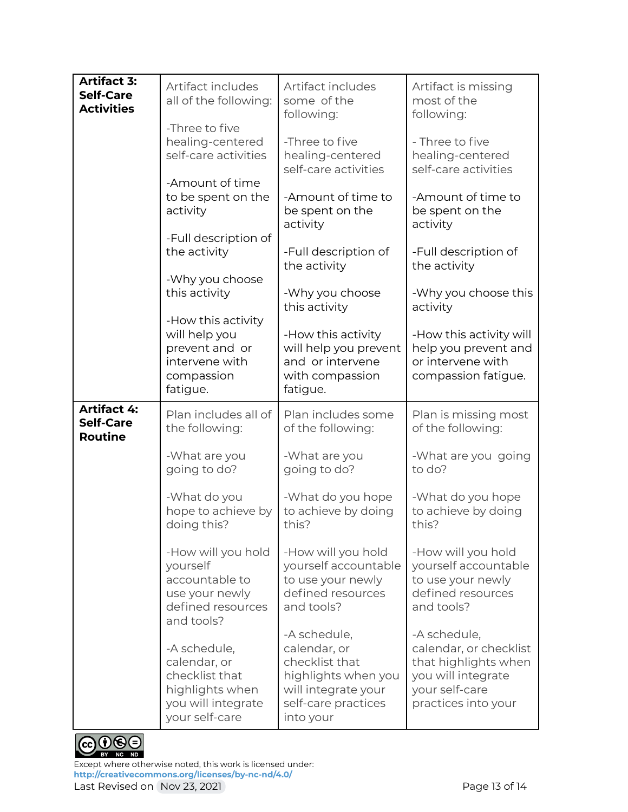| <b>Artifact 3:</b><br><b>Self-Care</b><br><b>Activities</b> | Artifact includes<br>all of the following:<br>-Three to five                                              | Artifact includes<br>some of the<br>following:                                                                                   | Artifact is missing<br>most of the<br>following:                                                                              |
|-------------------------------------------------------------|-----------------------------------------------------------------------------------------------------------|----------------------------------------------------------------------------------------------------------------------------------|-------------------------------------------------------------------------------------------------------------------------------|
|                                                             | healing-centered<br>self-care activities                                                                  | -Three to five<br>healing-centered<br>self-care activities                                                                       | - Three to five<br>healing-centered<br>self-care activities                                                                   |
|                                                             | -Amount of time<br>to be spent on the<br>activity                                                         | -Amount of time to<br>be spent on the<br>activity                                                                                | -Amount of time to<br>be spent on the<br>activity                                                                             |
|                                                             | -Full description of<br>the activity                                                                      | -Full description of<br>the activity                                                                                             | -Full description of<br>the activity                                                                                          |
|                                                             | -Why you choose<br>this activity<br>-How this activity                                                    | -Why you choose<br>this activity                                                                                                 | -Why you choose this<br>activity                                                                                              |
|                                                             | will help you<br>prevent and or<br>intervene with<br>compassion<br>fatigue.                               | -How this activity<br>will help you prevent<br>and or intervene<br>with compassion<br>fatigue.                                   | -How this activity will<br>help you prevent and<br>or intervene with<br>compassion fatigue.                                   |
| <b>Artifact 4:</b><br><b>Self-Care</b><br><b>Routine</b>    | Plan includes all of<br>the following:                                                                    | Plan includes some<br>of the following:                                                                                          | Plan is missing most<br>of the following:                                                                                     |
|                                                             | -What are you<br>going to do?                                                                             | -What are you<br>going to do?                                                                                                    | -What are you going<br>to do?                                                                                                 |
|                                                             | -What do you<br>hope to achieve by<br>doing this?                                                         | -What do you hope<br>to achieve by doing<br>this?                                                                                | -What do you hope<br>to achieve by doing<br>this?                                                                             |
|                                                             | -How will you hold<br>yourself<br>accountable to<br>use your newly<br>defined resources<br>and tools?     | -How will you hold<br>yourself accountable<br>to use your newly<br>defined resources<br>and tools?                               | -How will you hold<br>yourself accountable<br>to use your newly<br>defined resources<br>and tools?                            |
|                                                             | -A schedule,<br>calendar, or<br>checklist that<br>highlights when<br>you will integrate<br>your self-care | -A schedule,<br>calendar, or<br>checklist that<br>highlights when you<br>will integrate your<br>self-care practices<br>into your | -A schedule,<br>calendar, or checklist<br>that highlights when<br>you will integrate<br>your self-care<br>practices into your |



Except where otherwise noted, this work is licensed under: **<http://creativecommons.org/licenses/by-nc-nd/4.0/>** Last Revised on Nov 23, 2021 **Page 13 of 14**